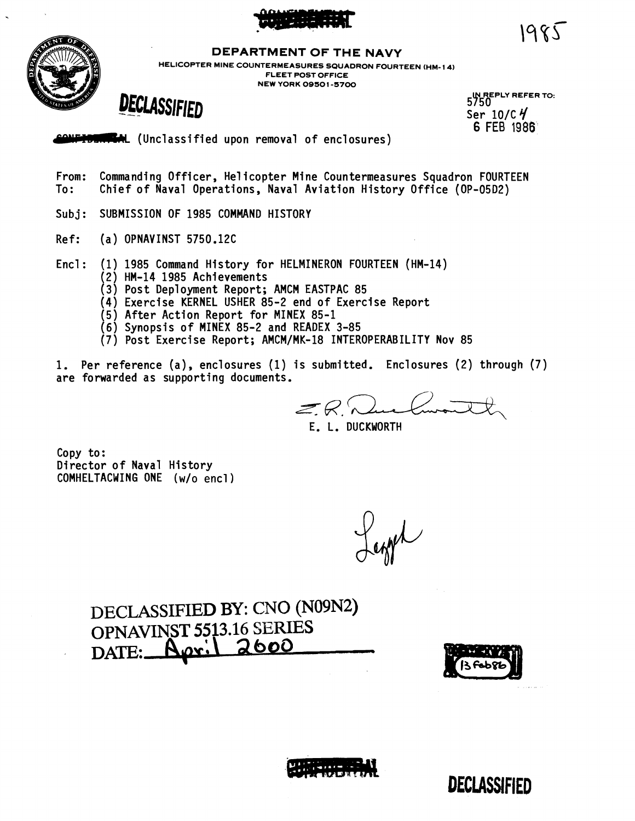



**DEPARTMENT OF THE NAVY** 

**HELICOPTER MINE COUNTERMEASURES SQUADRON FOURTEEN (HM- 14) FLEET POST OFFICE NEW YORK 09501 -5700** 

 $\overline{DECLASSIFIED}$   $^{5750}$   $^{5750}$ 

**IN REPLY REFER TO:**<br>5750 **6 FEE 1986** 

1985

(Unclassified upon removal of enclosures)

- From: Commanding Officer, Helicopter Mine Countermeasures Squadron FOURTEEN<br>To: Chief of Naval Operations, Naval Aviation History Office (OP-05D2) Chief of Naval Operations, Naval Aviation History Office (OP-05D2)
- Subj: SUBMISSION OF 1985 COMMAND HISTORY
- Ref: (a) OPNAVINST 5750.12C
- Encl: (1) 1985 Command History for HELMINERON FOURTEEN (HM-14)<br>(2) HM-14 1985 Achievements
	- - (2) HM-14 1985 Achievements<br>(3) Post Deployment Report; AMCM EASTPAC 85
	- (4) Exercise KERNEL USHER 85-2 end of Exercise Report
	- (5) After Action Report for MINEX 85-1
	- (6) Synopsis of MINEX 85-2 and READEX 3-85
	- (7) Post Exercise Report; AMCM/MK-18 INTEROPERABILITY Nov 85
- 1. Per reference (a), enclosures (1) is submitted. Enclosures (2) through (7) are forwarded as supporting documents.

 $ER.$ 

E. L. DUCKWORTH

Copy to: Director of Naval History COMHELTACWING ONE **(w/o** encl)

white

**DECLASSIFIED BY:** CNO **(N09N2) OPNAVINST 5513.16 SERIES**<br>DATE: **Agr. 2600** <u>Aari</u>





**DECLASSIFIED**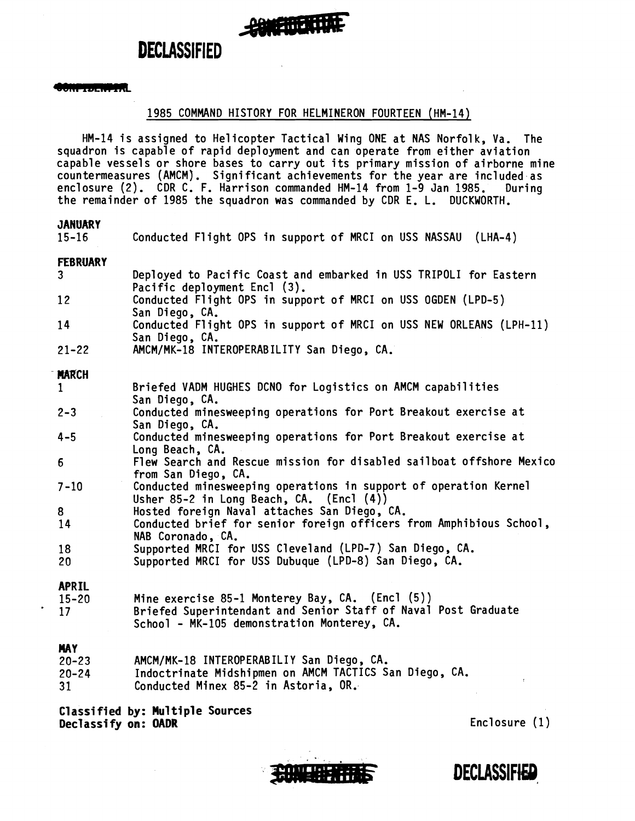#### <u> Leonard Contra</u>

#### 1985 COMMAND HISTORY FOR HELMINERON FOURTEEN (HM-14)

HM-14 is assigned to Helicopter Tactical Wing ONE at NAS Norfolk, Va. The squadron is capable of rapid deployment and can operate from either aviation capable vessels or shore bases to carry out its primary mission of airborne mine capable vessels or shore bases to carry out its primary mission of airborne mir<br>countermeasures (AMCM). Significant achievements for the year are included as enclosure (2). CDR C. F. Harrison commanded HM-14 from 1-9 Jan 1985. During the remainder of 1985 the squadron was commanded by CDR E. L. DUCKWORTH.

| $15 - 16$                         | Conducted Flight OPS in support of MRCI on USS NASSAU (LHA-4)                                                                                                    |
|-----------------------------------|------------------------------------------------------------------------------------------------------------------------------------------------------------------|
| <b>FEBRUARY</b><br>3 <sup>1</sup> | Deployed to Pacific Coast and embarked in USS TRIPOLI for Eastern                                                                                                |
| 12 <sup>7</sup>                   | Pacific deployment Encl (3).<br>Conducted Flight OPS in support of MRCI on USS OGDEN (LPD-5)<br>San Diego, CA.                                                   |
| 14                                | Conducted Flight OPS in support of MRCI on USS NEW ORLEANS (LPH-11)<br>San Diego, CA.                                                                            |
| $21 - 22$                         | AMCM/MK-18 INTEROPERABILITY San Diego, CA.                                                                                                                       |
| <b>MARCH</b>                      |                                                                                                                                                                  |
| $\mathbf 1$                       | Briefed VADM HUGHES DCNO for Logistics on AMCM capabilities<br>San Diego, CA.                                                                                    |
| $2 - 3$                           | Conducted minesweeping operations for Port Breakout exercise at<br>San Diego, CA.                                                                                |
| $4 - 5$                           | Conducted minesweeping operations for Port Breakout exercise at<br>Long Beach, CA.                                                                               |
| $6\phantom{.}6$                   | Flew Search and Rescue mission for disabled sailboat offshore Mexico<br>from San Diego, CA.                                                                      |
| $7 - 10$                          | Conducted minesweeping operations in support of operation Kernel                                                                                                 |
| 8                                 | Usher 85-2 in Long Beach, CA. (Encl (4))<br>Hosted foreign Naval attaches San Diego, CA.                                                                         |
| 14                                | Conducted brief for senior foreign officers from Amphibious School,<br>NAB Coronado, CA.                                                                         |
| 18                                | Supported MRCI for USS Cleveland (LPD-7) San Diego, CA.                                                                                                          |
| 20 <sub>2</sub>                   | Supported MRCI for USS Dubuque (LPD-8) San Diego, CA.                                                                                                            |
| <b>APRIL</b>                      |                                                                                                                                                                  |
| $15 - 20$<br>17                   | Mine exercise 85-1 Monterey Bay, CA. (Encl (5))<br>Briefed Superintendant and Senior Staff of Naval Post Graduate<br>School - MK-105 demonstration Monterey, CA. |
| <b>MAY</b>                        |                                                                                                                                                                  |
| $20 - 23$                         | AMCM/MK-18 INTEROPERABILIY San Diego, CA.                                                                                                                        |
| $20 - 24$                         | Indoctrinate Midshipmen on AMCM TACTICS San Diego, CA.                                                                                                           |
| 31                                | Conducted Minex 85-2 in Astoria, OR.                                                                                                                             |

**Classified by: Mu1 tiple Sources Declassify on: OADR** Enclosure (1)



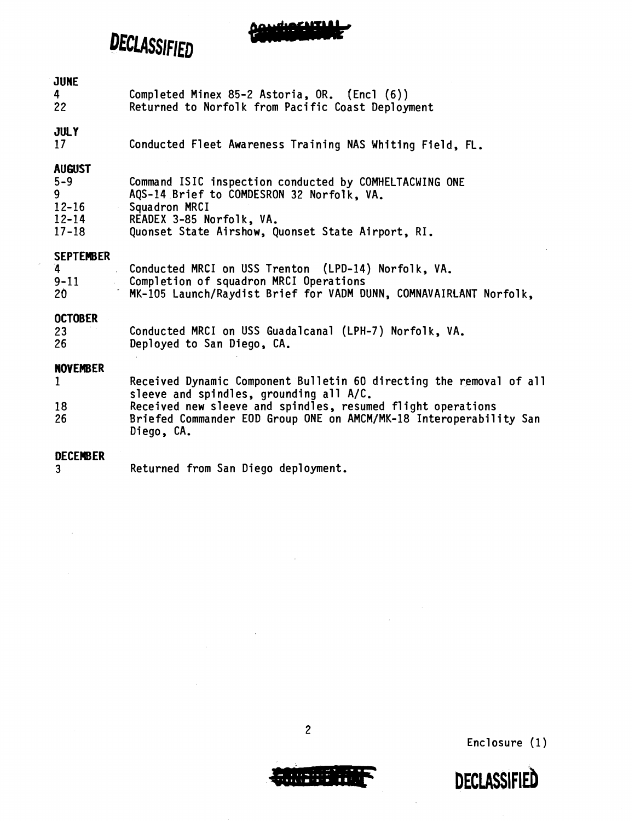DECLASSIFIED

#### JUNE

|    | Completed Minex 85-2 Astoria, OR. (Encl (6))      |
|----|---------------------------------------------------|
| 22 | Returned to Norfolk from Pacific Coast Deployment |

#### JULY

17 Conducted Fleet Awareness Training NAS Whiting Field, FL.

#### AUGUST

| $5 - 9$   | Command ISIC inspection conducted by COMHELTACWING ONE |
|-----------|--------------------------------------------------------|
| ۹         | AQS-14 Brief to COMDESRON 32 Norfolk, VA.              |
| $12 - 16$ | Squadron MRCI                                          |
| $12 - 14$ | READEX 3-85 Norfolk, VA.                               |
| $17 - 18$ | Quonset State Airshow, Quonset State Airport, RI.      |

#### **SEPTEWBER**

| $\mathbf{A}$ | Conducted MRCI on USS Trenton (LPD-14) Norfolk, VA.               |
|--------------|-------------------------------------------------------------------|
| $9 - 11$     | Completion of squadron MRCI Operations                            |
| 20           | MK-105 Launch/Raydist Brief for VADM DUNN, COMNAVAIRLANT Norfolk, |

#### **OCTOBER**

| 23 | Conducted MRCI on USS Guadalcanal (LPH-7) Norfolk, VA. |
|----|--------------------------------------------------------|
| 26 | Deployed to San Diego, CA.                             |

#### **NOVEMBER**

|    | Received Dynamic Component Bulletin 60 directing the removal of all              |
|----|----------------------------------------------------------------------------------|
|    | sleeve and spindles, grounding all A/C.                                          |
| 18 | Received new sleeve and spindles, resumed flight operations                      |
| 26 | Briefed Commander EOD Group ONE on AMCM/MK-18 Interoperability San<br>Diego, CA. |
|    |                                                                                  |

#### **DECEWBER**

**3**  Returned from San Diego deployment.



Enclosure (1)

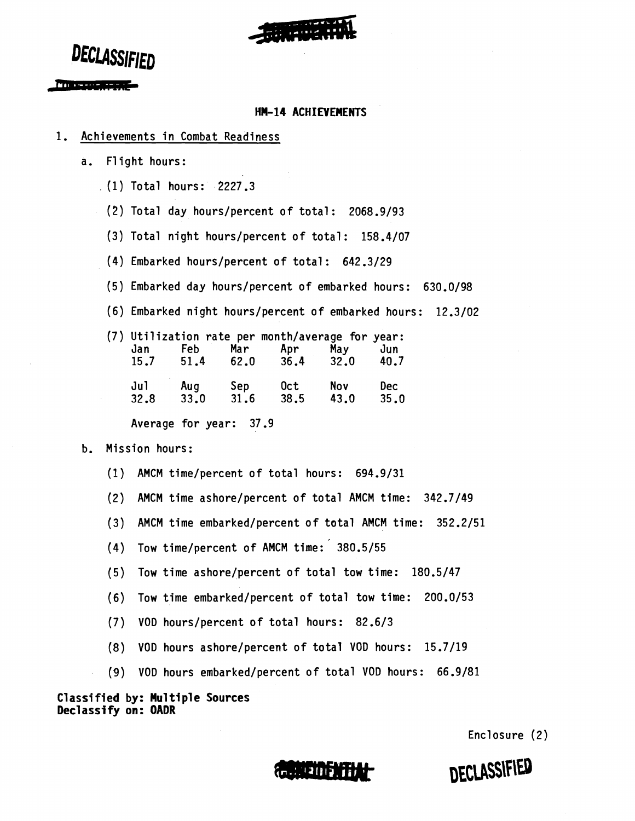

DECLASSIFIED

#### Macassas asset

#### **HM-14 ACHIEVEMENTS**

#### 1. Achievements in Combat Readiness

- a. Flight hours:
	- (1) Total hours: 2227.3
		- $(2)$  Total day hours/percent of total: 2068.9/93
		- (3) Total night hours/percent of total:  $158.4/07$
		- (4) Embarked hours/percent of total: 642.3/29
		- (5) Embarked day hours/percent of embarked hours: 630.0/98
		- (6) Embarked night hours/percent of embarked hours: 12.3/02

|      |      |      | (7) Utilization rate per month/average for year: |      |            |
|------|------|------|--------------------------------------------------|------|------------|
| Jan  | Feb  | Mar  | Apr                                              | May  | Jun        |
| 15.7 | 51.4 | 62.0 | 36.4                                             | 32.0 | 40.7       |
| Jul  | Aug  | Sep  | 0ct                                              | Nov  | <b>Dec</b> |
| 32.8 | 33.0 | 31.6 | 38.5                                             | 43.0 | 35.0       |

Average for year: 37.9

#### b. Mission hours:

- (1) AMCM time/percent of total hours: 694.9/31
- (2) AMCM time ashore/percent of total AMCM time: 342.7/49
- (3) AMCM time embarked/percent of total AMCM time: 352.2/51
- (4) Tow time/percent of AMCM time: 380.5/55
- (5) Tow time ashore/percent of total tow time: 180.5/47
- (6) Tow time embarked/percent of total tow time: 200.0/53
- (7) VOD hours/percent of total hours: 82.6/3
- (8) VOD hours ashore/percent of total VOD hours: 15.7/19
- (9) VOD hours embarked/percent of total VOD hours: 66.9/81

**Classified by: Mu1 tiple Sources Declassify on: OADR** 

Enclosure (2)

DECLASSIFIED

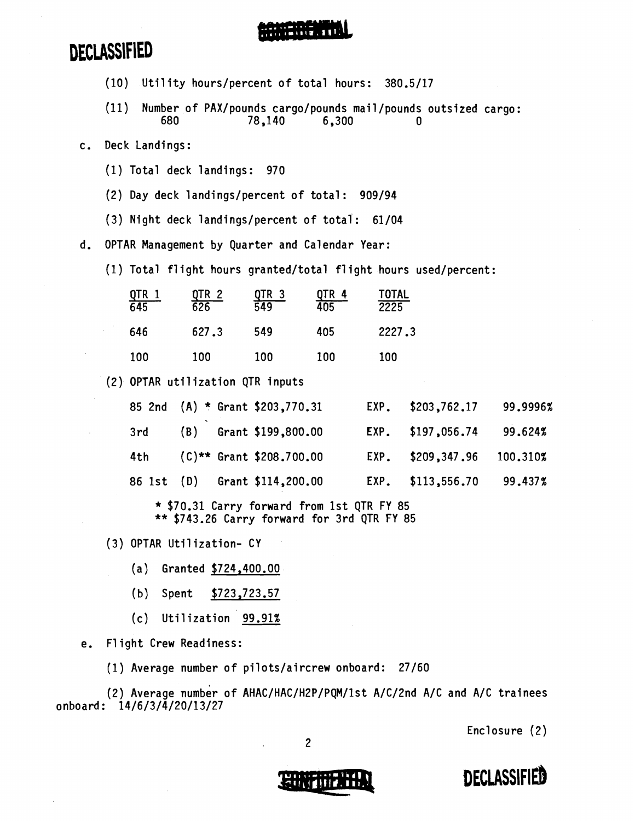- (10) Utility hours/percent of total hours: 380.5/17
- (11) Number of PAX/pounds cargo/pounds mai 1 /pounds outsized cargo: 78,140
- c. Deck Landings:
	- (1) Total deck landings: 970
	- (2) Day deck landings/percent of total: 909/94
	- (3) Night deck landings/percent of total : 61/04

d. OPTAR Management by Quarter and Calendar Year:

(1) Total flight hours granted/total flight hours used/percent:

| $\frac{0}{0.645}$ | QTR 2<br>$\overline{626}$ | <u>QTR 3</u><br>549 | <u>QTR 4</u><br>405 | <b>TOTAL</b><br>$\sqrt{2225}$ |
|-------------------|---------------------------|---------------------|---------------------|-------------------------------|
| 646               | 627.3                     | 549                 | 405                 | 2227.3                        |
| 100               | 100                       | 100                 | 100                 | 100                           |

(2) OPTAR utilization QTR inputs

|     |  | 85 2nd (A) * Grant \$203,770.31 | EXP. \$203,762.17          | 99.9996% |
|-----|--|---------------------------------|----------------------------|----------|
|     |  | 3rd (B) Grant \$199,800.00      | EXP. \$197,056.74          | 99.624%  |
| 4th |  | $(C)$ ** Grant \$208.700.00     | EXP. \$209,347.96 100.310% |          |
|     |  | 86 1st (D) Grant \$114,200.00   | EXP. \$113,556.70          | 99.437%  |

\* \$70.31 Carry forward from 1st QTR FY 85 \*\* \$743.26 Carry forward for 3rd QTR FY 85

- (3) OPTAR Utilization- CY
	- (a) Granted \$724,400.00
	- (b) Spent \$723,723.57
	- (c) Utilization 99.91%

e. Flight Crew Readiness:

(1) Average number of pilots/aircrew onboard: 27/60

(2) Average number of AHAC/HAC/H2P/PQM/1st A/C/2nd A/C and A/C trainees onboard: 14/6/3/4/20/13/27

Enclosure (2)



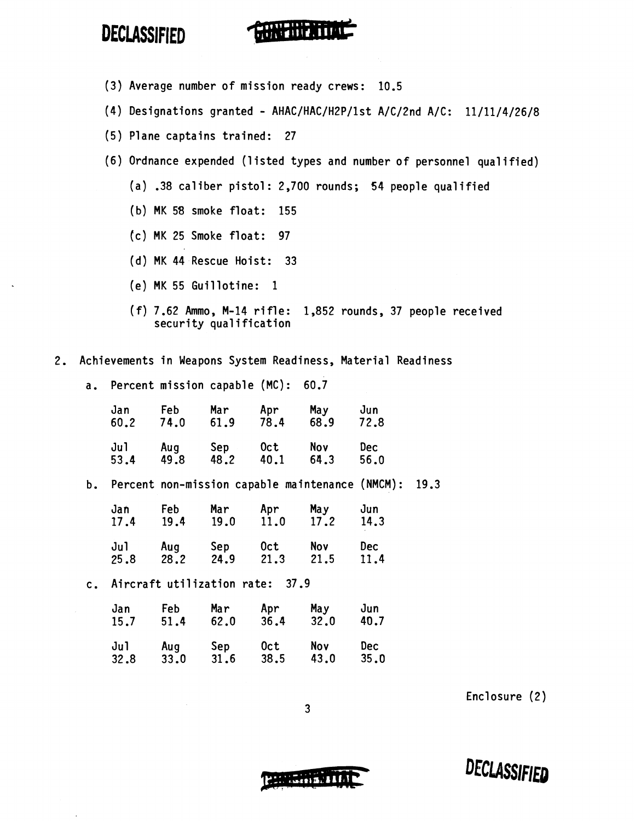

- (3) Average number of mission ready crews: 10.5
- (4) Designations granted AHAC/HAC/H2P/1st A/C/2nd A/C: 11/11/4/26/8
- (5) Plane captains trained: 27
- (6) Ordnance expended (1 isted types and number of personnel qual ified)
	- (a) .38 caliber pistol: 2,700 rounds; 54 people qualified
	- (b) MK 58 smoke float: 155
	- [c) MK 25 Smoke float: 97
	- (d) MK 44 Rescue Hoist: 33
	- (e) MK 55 Guillotine: 1
	- (f) 7.62 Ammo, M-14 rifle: 1,852 rounds, 37 people received security qualification
- 2. Achievements in Weapons System Readiness, Material Readiness
	- a. Percent mission capable (MC): 60.7

| Jan  | <b>Feb</b> | Mar  | Apr  | May  | Jun  |
|------|------------|------|------|------|------|
| 50.2 | 74.0       | 61.9 | 78.4 | 68.9 | 72.8 |
| Ju1  | Aug        | Sep  | 0ct  | Nov  | Dec. |
| 53.4 | 49.8       | 48.2 | 40.1 | 64.3 | 56.0 |

b. Percent non-mission capable maintenance (NMCM): 19.3

| Jan  | Feb  | Mar  | Apr  | May  | Jun        |
|------|------|------|------|------|------------|
| 17.4 | 19.4 | 19.0 | 11.0 | 17.2 | 14.3       |
| Jul  | Aug  | Sep  | 0ct  | Nov  | <b>Dec</b> |
| 25.8 | 28.2 | 24.9 | 21.3 | 21.5 | 11.4       |

c. Aircraft utilization rate: 37.9

| Jan  | Feb  | Mar  | Apr  | May  | Jun  |
|------|------|------|------|------|------|
| 15.7 | 51.4 | 62.0 | 36.4 | 32.0 | 40.7 |
| Jul  | Aug  | Sep  | 0ct  | Nov  | Dec  |
| 32.8 | 33.0 | 31.6 | 38.5 | 43.0 | 35.0 |

Enclosure (2)

DECLASSIFIED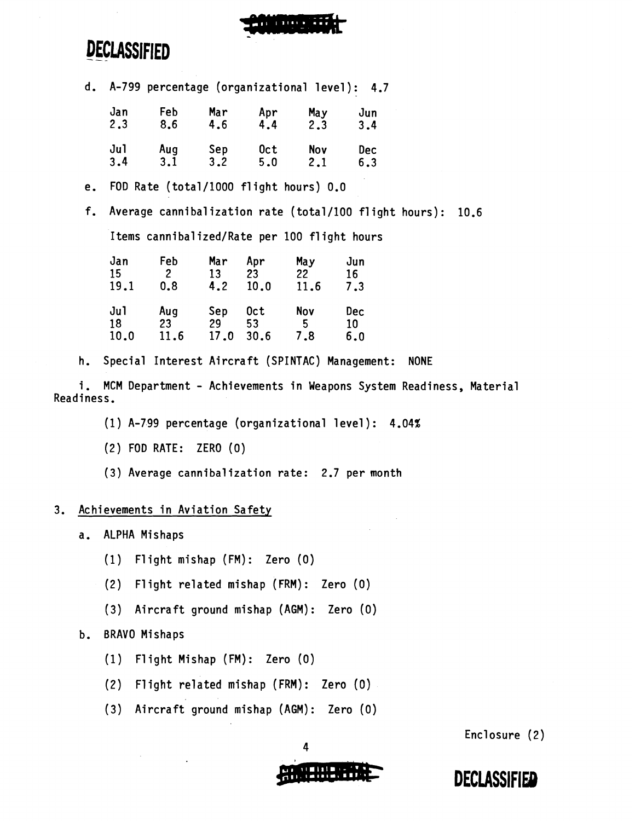

# **DECLASSIFIED** ---

d. A-799 percentage (organizational level): 4.7

| Jan | Feb | Mar | Apr | May | Jun |
|-----|-----|-----|-----|-----|-----|
| 2.3 | 8.6 | 4.6 | 4.4 | 2.3 | 3.4 |
| Jul | Aug | Sep | 0ct | Nov | Dec |
| 3.4 | 3.1 | 3.2 | 5.0 | 2.1 | 6.3 |

e. FOD Rate (tota1/1000 flight hours) 0.0

f. Average cannibalization rate (total/100 flight hours): 10.6

Items cannibalized/Rate per 100 flight hours

| Jan  | Feb            | Mar  | Apr  | May  | Jun |
|------|----------------|------|------|------|-----|
| 15   | $\overline{2}$ | 13   | 23   | 22   | 16  |
| 19.1 | 0.8            | 4.2  | 10.0 | 11.6 | 7.3 |
| Jul  | Aug            | Sep  | 0ct  | Nov  | Dec |
| 18   | 23             | 29   | 53   | 5    | 10  |
| 10.0 | 11.6           | 17.0 | 30.6 | 7.8  | 6.0 |

h. Special Interest Aircraft (SPINTAC) Management: NONE

i. MCM Department - Achievements in Weapons System Readiness, Material Readiness.

(1) A-799 percentage (organizational level): 4.04%

(2) FOD RATE: ZERO (0)

(3) Average cannibaljzation rate: 2.7 per month

### 3. Achievements in Aviation Safety

- a. ALPHA Mishaps
	- (1) Flight mishap (FM): Zero (0)
	- (2) Flight related mishap (FRM): Zero (0)
	- (3) Aircraft ground mishap (AGM) : Zero (0)

### b. BRAVO Mishaps

- (1) Flight Mishap (FM): Zero (0)
- (2) Flight related mishap (FRM): Zero **(0)**
- (3) Aircraft ground mishap (AGM) : Zero (0)

Enclosure (2)



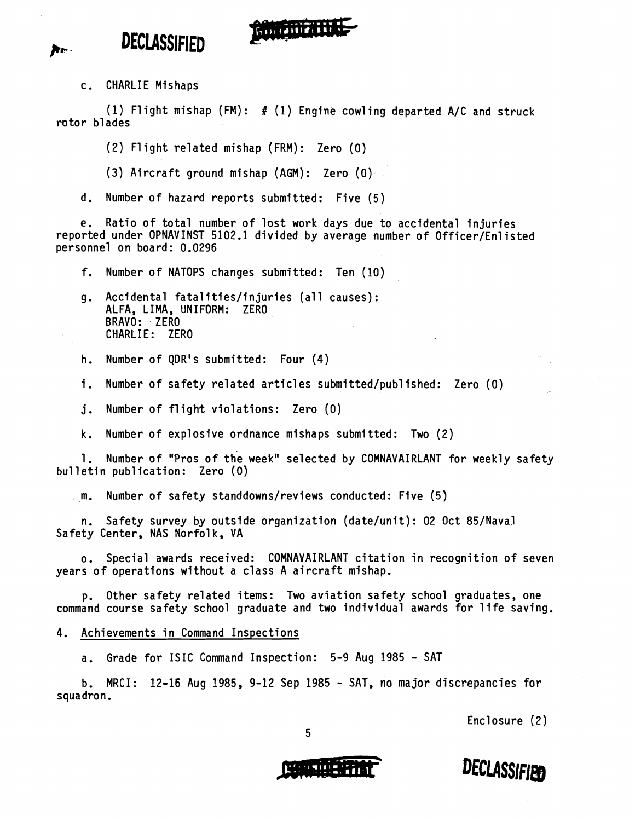

(1) Flight mishap  $(FM):$  # (1) Engine cowling departed A/C and struck rotor blades

**Ring DENTH** 

(2) Flight related mishap (FRM) : Zero (0)

(3) Aircraft ground mishap (AGM): Zero (0)

d. Number of hazard reports submitted: Five (5)

e. Ratio of total number of lost work days due to accidental injuries reported under OPNAVINST 5102.1 divided by average number of Officer/Enlisted personnel on board: 0.0296

f. Number of NATOPS changes submitted: Ten (10)

g. Accidental fatalities/injuries (all causes): ALFA, LIMA, UNIFORM: ZERO BRAVO: ZERO CHARLIE: ZERO

h. Number of QDR's submitted: Four (4)

i. Number of safety related articles submitted/published: Zero (0)

**j.** Number of flight violations: Zero (0)

k. Number of explosive ordnance mishaps submitted: Two (2)

1. Number of "Pros of the week" selected by COMNAVAIRLANT for weekly safety bulletin pub1 ication: Zero **(0)** 

,m. Number of safety standdowns/reviews conducted: Five (5)

n. Safety survey by outside organization (date/unit): 02 Oct 85/Naval Safety Center, NAS Norfolk, VA

o. Special awards received: COMNAVAIRLANT citation in recognition of seven years of operations without a class A aircraft mishap.

p. Other safety related items: Two aviation safety school graduates, one command course safety school graduate and two individual awards for life saving.

4. Achievements in Command Inspections

a. Grade for ISIC Command Inspection: 5-9 Aug 1985 - SAT

b. MRCI: 12-16 Aug 1985, 9-12 Sep 1985 - SAT, no major discrepancies for squadron.

5

Enclosure (2)



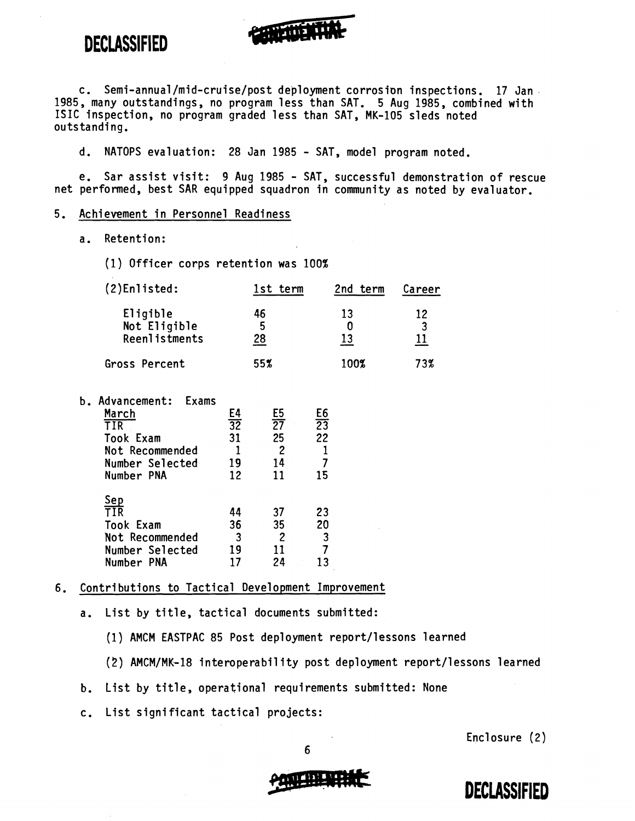

**ANDREW STATE** 

**d.** NATOPS evaluation: 28 Jan 1985 - SAT, model program noted.

e. Sar assist visit: 9 Aug 1985 - SAT, successful demonstration of rescue net performed, best 5AR equipped squadron in community as noted by evaluator.

#### 5. Achi evement in Personnel Readiness

a. Retention:

(1) Officer corps retention was 100%

| (2)Enlisted:         | 1st term | 2nd term | Career |
|----------------------|----------|----------|--------|
| Eligible             | 46       | 13       | 12     |
| Not Eligible         | 5        |          | 3      |
| <b>Reenlistments</b> | 28       | 13       | 11     |
| Gross Percent        | 55%      | 100%     | 73%    |

| . כ | Advancement:<br>Exams |                 |     |                 |  |
|-----|-----------------------|-----------------|-----|-----------------|--|
|     | March                 | E4              | E5  | E6              |  |
|     | TIR                   | $\overline{32}$ | 27  | $\overline{23}$ |  |
|     | <b>Took Exam</b>      | 31              | 25  | 22              |  |
|     | Not Recommended       |                 | 2   |                 |  |
|     | Number Selected       | 19              | 14  |                 |  |
|     | Number PNA            | 12              | 11  | 15              |  |
|     | Sep                   |                 |     |                 |  |
|     | TIR                   | 44              | 37  | 23              |  |
|     | <b>Took Exam</b>      | 36              | 35  | 20              |  |
|     | Not Recommended       | 3               | 2   | 3               |  |
|     | Number Selected       | 19              | 1 I |                 |  |
|     | Number PNA            |                 | 24  |                 |  |
|     |                       |                 |     |                 |  |

#### 6. Contributions to Tactical Development Improvement

a. List by title, tactical documents submitted:

(1) AMCM EASTPAC 85 Post deployment report/lessons learned

- (2) AMCM/MK-18 interoperability post deployment report/lessons learned
- b. List by title, operational requirements submitted: None
- c. List significant tactical projects:

Enclosure (2)



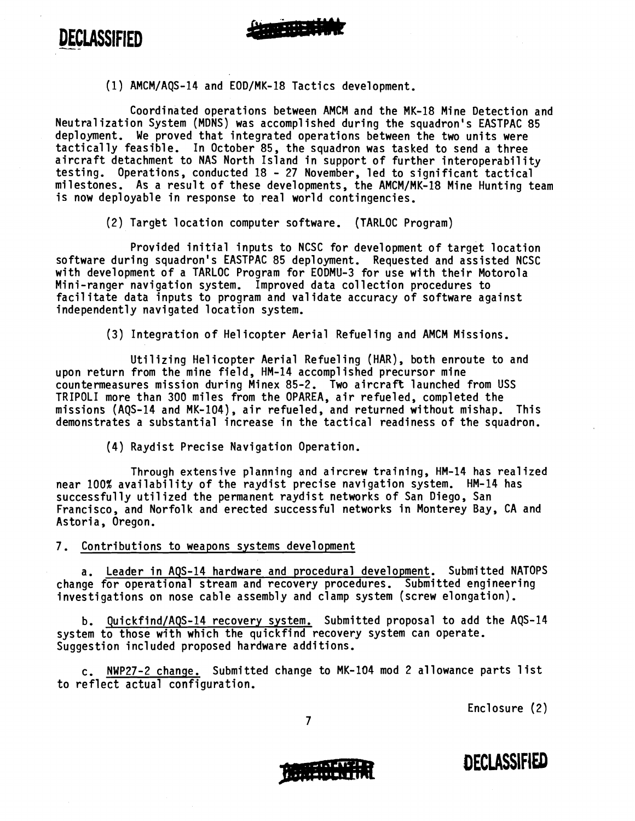DECLASSIFIED



**MANY** 

Coordinated operations between AMCM and the MK-18 Mine Detection and Neutral ization System (MDNS) was accompl ished during the squadron's EASTPAC 85 deployment. We proved that integrated operations between the two units were deproyment. We proved that integrated operations between the two units were<br>tactically feasible. In October 85, the squadron was tasked to send a three<br>aircraft detachment to NAS North Island in support of further interope aircraft detachment to NAS North Island in support of further interoperability<br>testing. Operations, conducted 18 - 27 November, led to significant tactical milestones. As a result of these developments, the AMCM/MK-18 Mine Hunting team is now deployable in response to real world contingencies.

(2) Target location computer software. (TARLOC Program)

Provided initial inputs to NCSC for development of target location software during squadron's EASTPAC 85 deployment. Requested and assisted NCSC with development of a TARLOC Program for EODMU-3 for use with their Motorola Mini-ranger navigation system. Improved data collection procedures to facilitate data inputs to program and validate accuracy of software against independently navigated location system.

(3) Integration of He1 icopter Aerial Refueling and AMCM Missions.

Utilizing Helicopter Aerial Refueling (HAR), both enroute to and upon return from the mine field, HM-14 accomplished precursor mine countermeasures mission during Minex 85-2. Two aircraft launched from USS TRIPOLI more than 300 miles from the OPAREA, air refueled, completed the missions (AQS-14 and MK-104), air refueled, and returned without mishap. This demonstrates a substantial increase in the tactical readiness of the squadron.

(4) Raydist Precise Navigation Operation.

Through extensive planning and aircrew training, HM-14 has realized near 100% availability of the raydist precise navigation system. HM-14 has successfully utilized the permanent raydist networks of San Diego, San Francisco, and Norfolk and erected successful networks in Monterey Bay, CA and Astoria, Oregon.

7. Contributions to weapons systems development

a. Leader in AQS-14 hardware and procedural development. Submitted NATOPS change for operational stream and recovery procedures. Submitted engineering investigations on nose cable assembly and clamp system (screw elongation).

b. Quickfind/AQS-14 recovery system. Submitted proposal to add the AQS-14 system to those with which the quickfind recovery system can operate. Suggestion included proposed hardware additions.

c. NWP27-2 change. Submitted change to MK-104 mod 2 allowance parts list to reflect actual configuration.

Enclosure (2)

**DECLASSIFIED** 

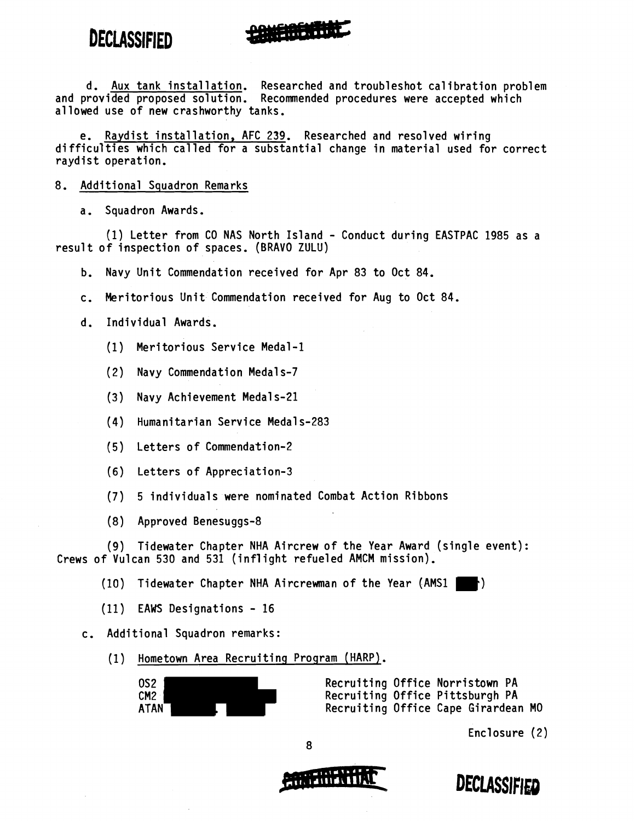d. Aux tank installation. Researched and troubleshot calibration problem and provided proposed solution. Recommended procedures were accepted which allowed use of new crashworthy tanks.

e. Raydist installation, AFC 239. Researched and resolved wiring difficulties which called for a substantial change in material used for correct raydist operation.

- 8. Additional Squadron Remarks
	- a. Squadron Awards.

(1) Letter from CO NAS North Island - Conduct during EASTPAC 1985 as a result of inspection of spaces. (BRAVO ZULU)

- b. Navy Unit Commendation received for Apr 83 to Oct 84.
- c. Meritorious Unit Commendation received for Aug to Oct 84.
- d. Individual Awards.
	- (1) Meritorious Service Medal -1
	- (2) Navy Commendation Medal s-7
	- (3) Navy Achievement Medal s-21
	- (4) Humanitarian Service Medal s-283
	- (5) Letters of Commendation-2
	- (6) Letters of Appreciation-3
	- (7) 5 individuals were nominated Combat Action Ribbons
	- (8) Approved Benesuggs-8

(9) Tidewater Chapter NHA Aircrew of the Year Award (single event): Crews of Vulcan 530 and 531 (inflight refueled AMCM mission).

 $(10)$  Tidewater Chapter NHA Aircrewman of the Year  $(AMS1 \rightharpoonup r)$ 

- (11) EAWS Designations 16
- c. Additional Squadron remarks:
	- (1) Hometown Area Recruiting Program (HARP).

OS2 Recruiting Office Norristown PA CM2 Recruiting Office Pittsburgh PA ATAN Recruiting Office Cape Girardean MO

Enclosure (2)